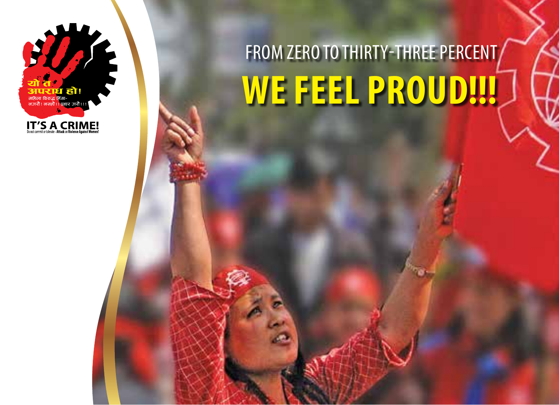

# From Zero to Thirty-Three Percent **We Feel Proud!!!**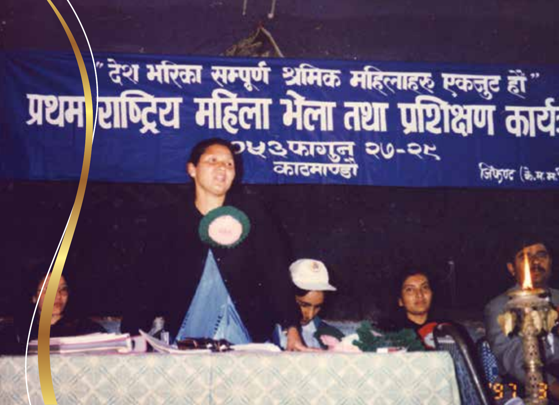# प्रथम सारिका सम्पूर्ण श्रमिक महिलाहरु एकत्तुट हो"<br>प्रथम शाब्द्रिय महिला मेला तथा प्रशिक्षण कार्य<br>अन्नान्द्र २५३फान्स्तु २७-२८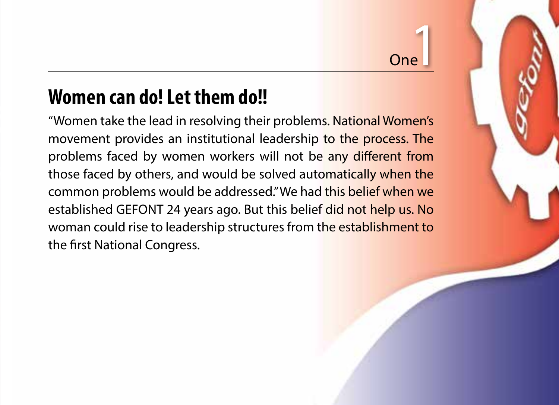### **Women can do! Let them do!!**

"Women take the lead in resolving their problems. National Women's movement provides an institutional leadership to the process. The problems faced by women workers will not be any different from those faced by others, and would be solved automatically when the common problems would be addressed." We had this belief when we established GEFONT 24 years ago. But this belief did not help us. No woman could rise to leadership structures from the establishment to the first National Congress.

 $One$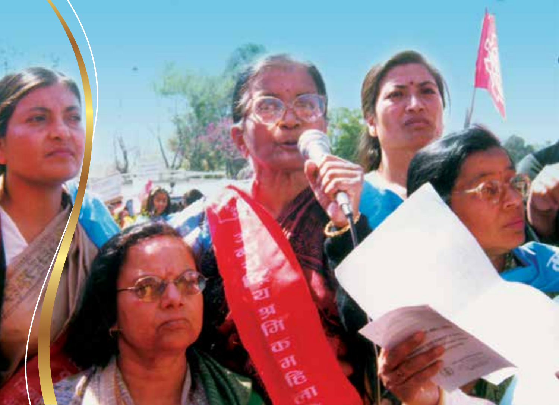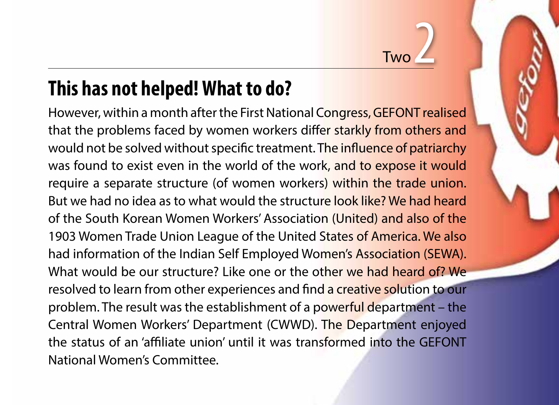# **This has not helped! What to do?**

However, within a month after the First National Congress, GEFONT realised that the problems faced by women workers differ starkly from others and would not be solved without specific treatment. The influence of patriarchy was found to exist even in the world of the work, and to expose it would require a separate structure (of women workers) within the trade union. But we had no idea as to what would the structure look like? We had heard of the South Korean Women Workers' Association (United) and also of the 1903 Women Trade Union League of the United States of America. We also had information of the Indian Self Employed Women's Association (SEWA). What would be our structure? Like one or the other we had heard of? We resolved to learn from other experiences and find a creative solution to our problem. The result was the establishment of a powerful department – the Central Women Workers' Department (CWWD). The Department enjoyed the status of an 'affiliate union' until it was transformed into the GEFONT National Women's Committee.

**Two**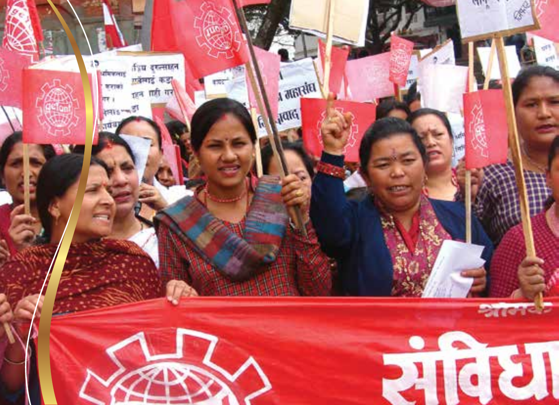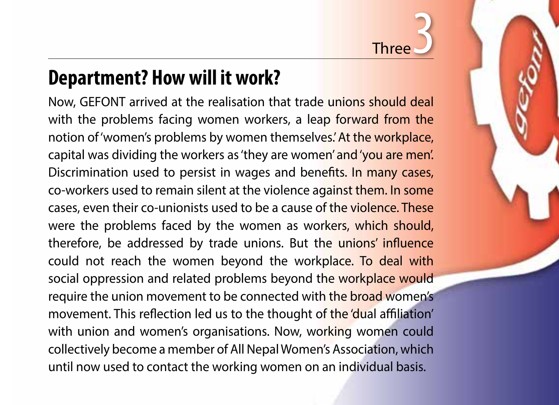

# **Department? How will it work?**

Now, GEFONT arrived at the realisation that trade unions should deal with the problems facing women workers, a leap forward from the notion of 'women's problems by women themselves.' At the workplace, capital was dividing the workers as 'they are women' and 'you are men'. Discrimination used to persist in wages and benefits. In many cases, co-workers used to remain silent at the violence against them. In some cases, even their co-unionists used to be a cause of the violence. These were the problems faced by the women as workers, which should, therefore, be addressed by trade unions. But the unions' influence could not reach the women beyond the workplace. To deal with social oppression and related problems beyond the workplace would require the union movement to be connected with the broad women's movement. This reflection led us to the thought of the 'dual affiliation' with union and women's organisations. Now, working women could collectively become a member of All Nepal Women's Association, which until now used to contact the working women on an individual basis.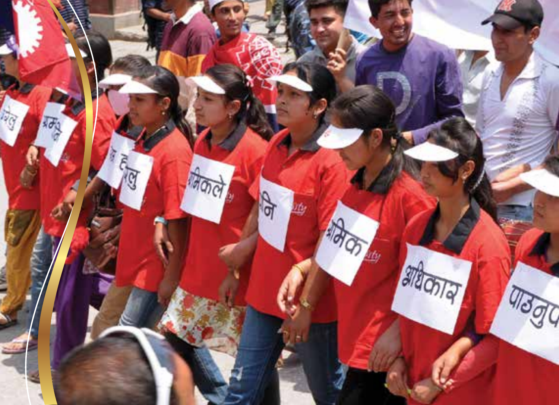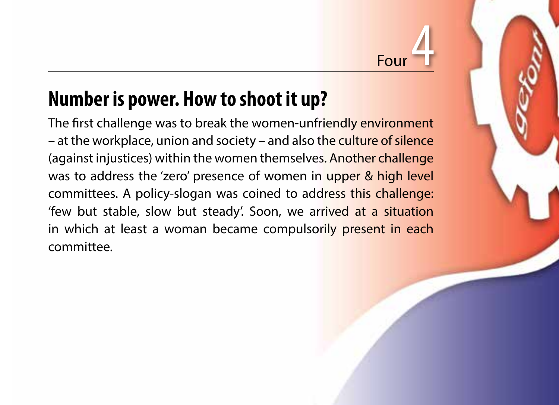# Four4

# **Number is power. How to shoot it up?**

The first challenge was to break the women-unfriendly environment – at the workplace, union and society – and also the culture of silence (against injustices) within the women themselves. Another challenge was to address the 'zero' presence of women in upper & high level committees. A policy-slogan was coined to address this challenge: 'few but stable, slow but steady'. Soon, we arrived at a situation in which at least a woman became compulsorily present in each committee.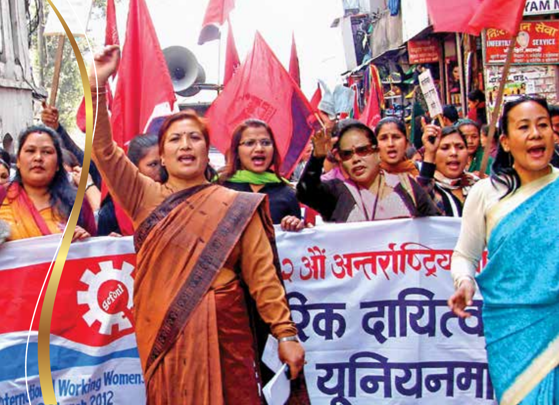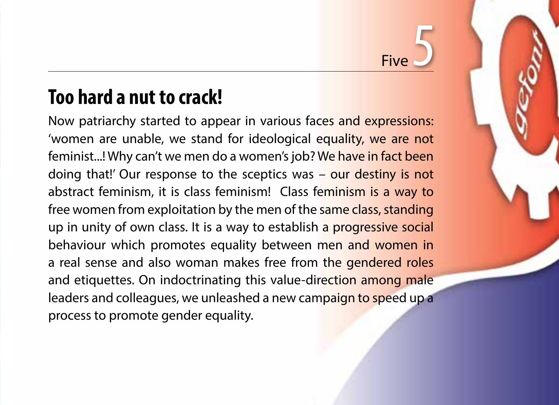### **Too hard a nut to crack!**

Now patriarchy started to appear in various faces and expressions: 'women are unable, we stand for ideological equality, we are not feminist...! Why can't we men do a women's job? We have in fact been doing that!' Our response to the sceptics was – our destiny is not abstract feminism, it is class feminism! Class feminism is a way to free women from exploitation by the men of the same class, standing up in unity of own class. It is a way to establish a progressive social behaviour which promotes equality between men and women in a real sense and also woman makes free from the gendered roles and etiquettes. On indoctrinating this value-direction among male leaders and colleagues, we unleashed a new campaign to speed up a process to promote gender equality.

Five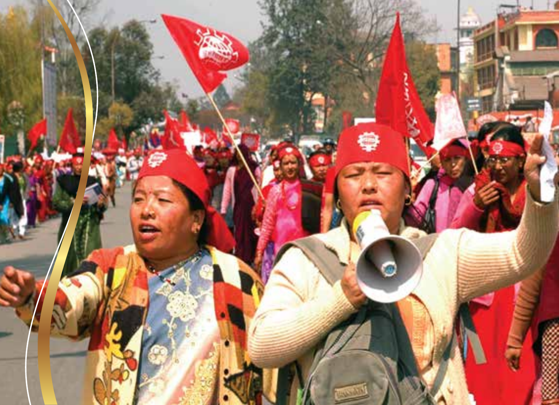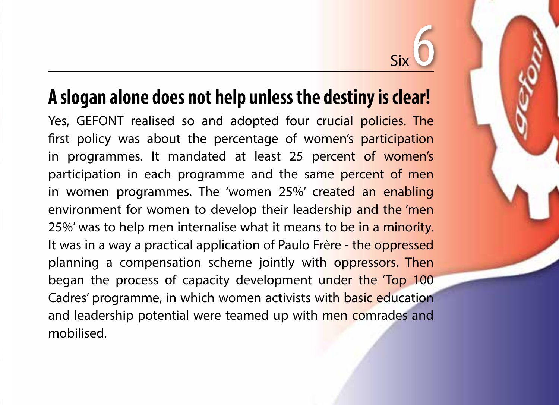### **A slogan alone does not help unless the destiny is clear!**

 $\frac{1}{\sin 6}$ 

Yes, GEFONT realised so and adopted four crucial policies. The first policy was about the percentage of women's participation in programmes. It mandated at least 25 percent of women's participation in each programme and the same percent of men in women programmes. The 'women 25%' created an enabling environment for women to develop their leadership and the 'men 25%' was to help men internalise what it means to be in a minority. It was in a way a practical application of Paulo Frère - the oppressed planning a compensation scheme jointly with oppressors. Then began the process of capacity development under the 'Top 100 Cadres' programme, in which women activists with basic education and leadership potential were teamed up with men comrades and mobilised.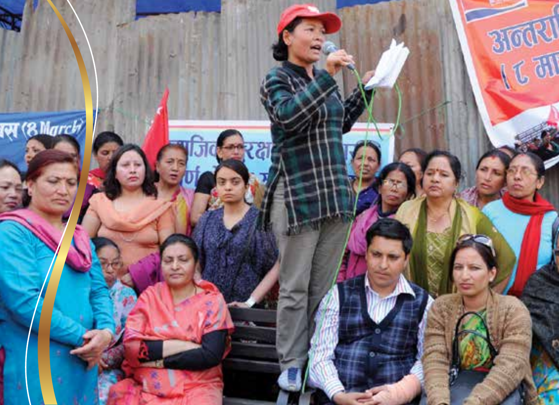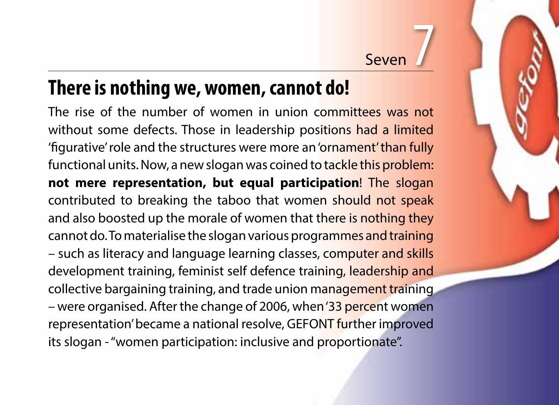### Seven

### **There is nothing we, women, cannot do!**

The rise of the number of women in union committees was not without some defects. Those in leadership positions had a limited 'figurative' role and the structures were more an 'ornament' than fully functional units. Now, a new slogan was coined to tackle this problem: **not mere representation, but equal participation**! The slogan contributed to breaking the taboo that women should not speak and also boosted up the morale of women that there is nothing they cannot do. To materialise the slogan various programmes and training – such as literacy and language learning classes, computer and skills development training, feminist self defence training, leadership and collective bargaining training, and trade union management training – were organised. After the change of 2006, when '33 percent women representation' became a national resolve, GEFONT further improved its slogan - "women participation: inclusive and proportionate".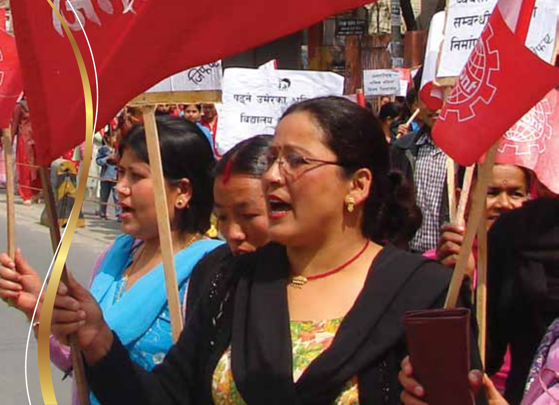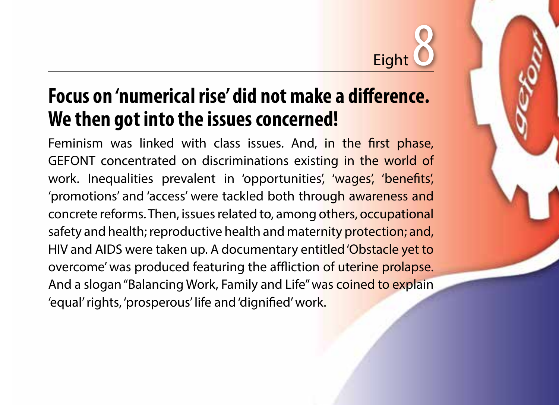

### **Focus on 'numerical rise' did not make a difference. We then got into the issues concerned!**

Feminism was linked with class issues. And, in the first phase, GEFONT concentrated on discriminations existing in the world of work. Inequalities prevalent in 'opportunities', 'wages', 'benefits', 'promotions' and 'access' were tackled both through awareness and concrete reforms. Then, issues related to, among others, occupational safety and health; reproductive health and maternity protection; and, HIV and AIDS were taken up. A documentary entitled 'Obstacle yet to overcome' was produced featuring the affliction of uterine prolapse. And a slogan "Balancing Work, Family and Life" was coined to explain 'equal' rights, 'prosperous' life and 'dignified' work.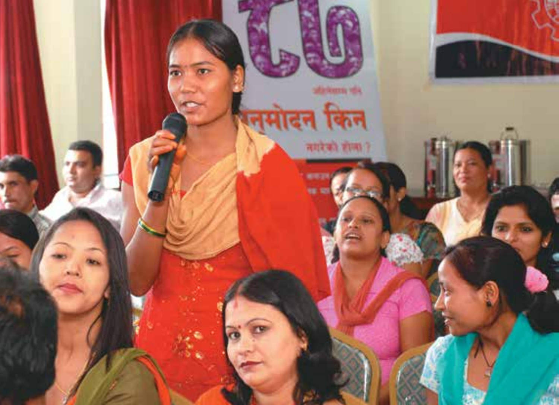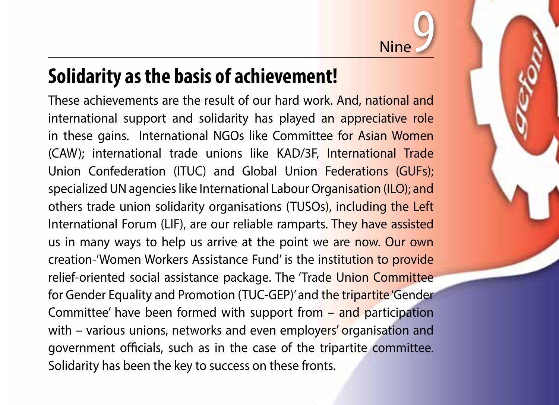

## **Solidarity as the basis of achievement!**

These achievements are the result of our hard work. And, national and international support and solidarity has played an appreciative role in these gains. International NGOs like Committee for Asian Women (CAW); international trade unions like KAD/3F, International Trade Union Confederation (ITUC) and Global Union Federations (GUFs); specialized UN agencies like International Labour Organisation (ILO); and others trade union solidarity organisations (TUSOs), including the Left International Forum (LIF), are our reliable ramparts. They have assisted us in many ways to help us arrive at the point we are now. Our own creation-'Women Workers Assistance Fund' is the institution to provide relief-oriented social assistance package. The 'Trade Union Committee for Gender Equality and Promotion (TUC-GEP)' and the tripartite 'Gender Committee' have been formed with support from – and participation with – various unions, networks and even employers' organisation and government officials, such as in the case of the tripartite committee. Solidarity has been the key to success on these fronts.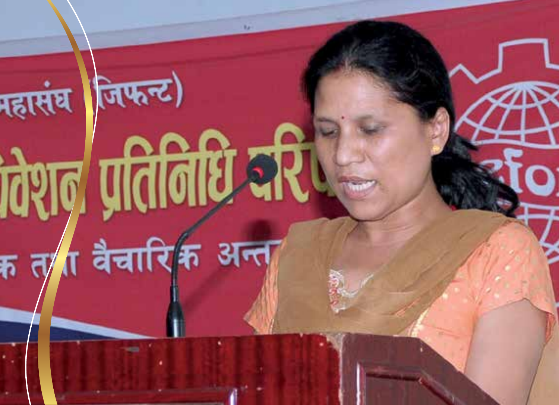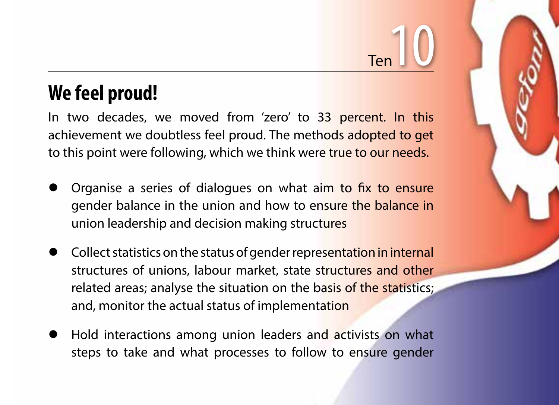

# **We feel proud!**

In two decades, we moved from 'zero' to 33 percent. In this achievement we doubtless feel proud. The methods adopted to get to this point were following, which we think were true to our needs.

- Organise a series of dialogues on what aim to fix to ensure gender balance in the union and how to ensure the balance in union leadership and decision making structures
- l Collect statistics on the status of gender representation in internal structures of unions, labour market, state structures and other related areas; analyse the situation on the basis of the statistics; and, monitor the actual status of implementation
- Hold interactions among union leaders and activists on what steps to take and what processes to follow to ensure gender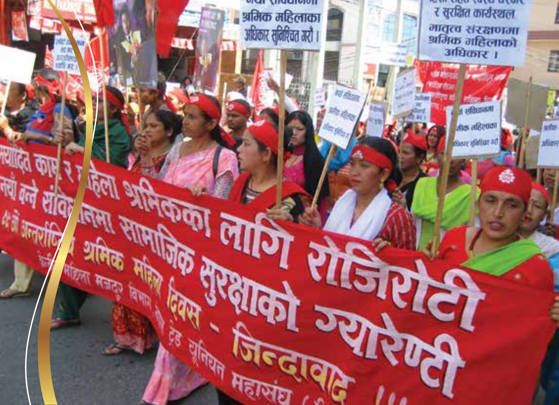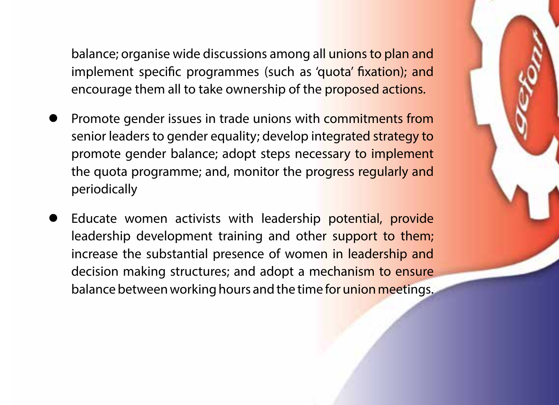balance; organise wide discussions among all unions to plan and implement specific programmes (such as 'quota' fixation); and encourage them all to take ownership of the proposed actions.

- Promote gender issues in trade unions with commitments from senior leaders to gender equality; develop integrated strategy to promote gender balance; adopt steps necessary to implement the quota programme; and, monitor the progress regularly and periodically
- Educate women activists with leadership potential, provide leadership development training and other support to them; increase the substantial presence of women in leadership and decision making structures; and adopt a mechanism to ensure balance between working hours and the time for union meetings.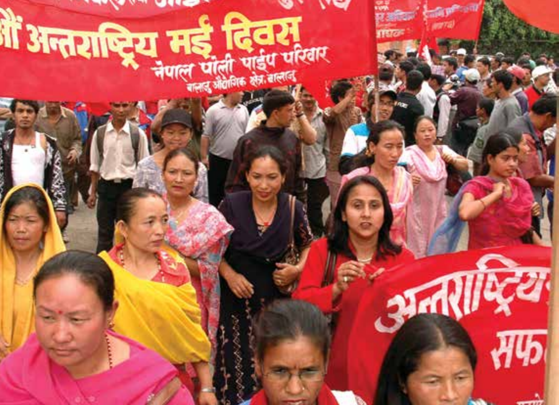# **गौँ अन्तराष्ट्रिय मई दिवस्**

अनसांख्य

सफ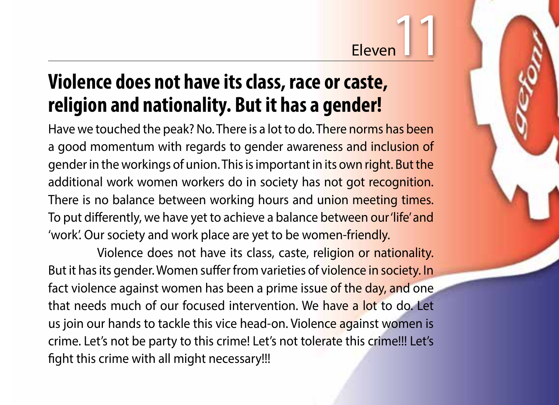## **Violence does not have its class, race or caste, religion and nationality. But it has a gender!**

Have we touched the peak? No. There is a lot to do. There norms has been a good momentum with regards to gender awareness and inclusion of gender in the workings of union. This is important in its own right. But the additional work women workers do in society has not got recognition. There is no balance between working hours and union meeting times. To put differently, we have yet to achieve a balance between our 'life' and 'work'. Our society and work place are yet to be women-friendly.

**Fleven** 

Violence does not have its class, caste, religion or nationality. But it has its gender. Women suffer from varieties of violence in society. In fact violence against women has been a prime issue of the day, and one that needs much of our focused intervention. We have a lot to do, Let us join our hands to tackle this vice head-on. Violence against women is crime. Let's not be party to this crime! Let's not tolerate this crime!!! Let's fight this crime with all might necessary!!!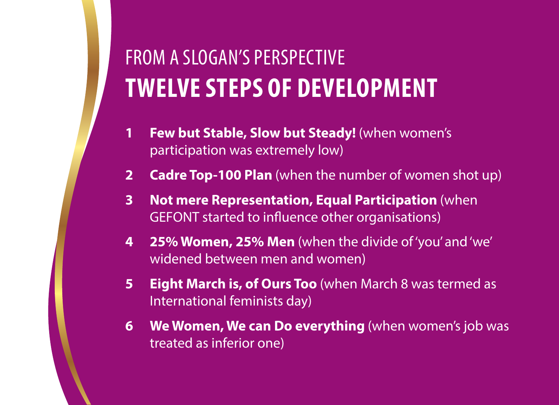# From a Slogan's Perspective **Twelve Steps of Development**

- **1 Few but Stable, Slow but Steady!** (when women's participation was extremely low)
- **2 Cadre Top-100 Plan** (when the number of women shot up)
- **3 Not mere Representation, Equal Participation** (when GEFONT started to influence other organisations)
- **4 25% Women, 25% Men** (when the divide of 'you' and 'we' widened between men and women)
- **5 Eight March is, of Ours Too** (when March 8 was termed as International feminists day)
- **6 We Women, We can Do everything** (when women's job was treated as inferior one)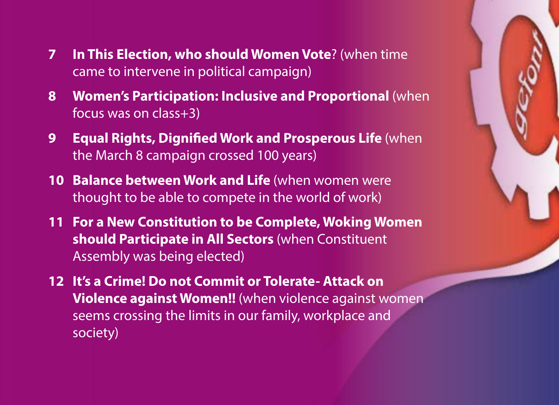- **7 In This Election, who should Women Vote**? (when time came to intervene in political campaign)
- **8 Women's Participation: Inclusive and Proportional** (when focus was on class+3)
- **9 Equal Rights, Dignified Work and Prosperous Life** (when the March 8 campaign crossed 100 years)
- **10 Balance between Work and Life** (when women were thought to be able to compete in the world of work)
- **11 For a New Constitution to be Complete, Woking Women should Participate in All Sectors** (when Constituent Assembly was being elected)
- **12 It's a Crime! Do not Commit or Tolerate- Attack on Violence against Women!!** (when violence against women seems crossing the limits in our family, workplace and society)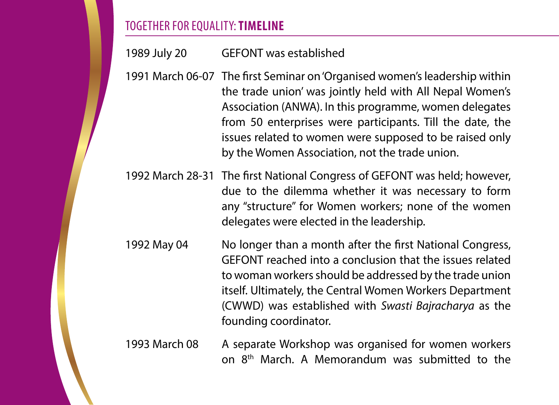### 1989 July 20 GEFONT was established

- 1991 March 06-07 The first Seminar on 'Organised women's leadership within the trade union' was jointly held with All Nepal Women's Association (ANWA). In this programme, women delegates from 50 enterprises were participants. Till the date, the issues related to women were supposed to be raised only by the Women Association, not the trade union.
- 1992 March 28-31 The first National Congress of GEFONT was held; however, due to the dilemma whether it was necessary to form any "structure" for Women workers; none of the women delegates were elected in the leadership.
- 1992 May 04 No longer than a month after the first National Congress, GEFONT reached into a conclusion that the issues related to woman workers should be addressed by the trade union itself. Ultimately, the Central Women Workers Department (CWWD) was established with *Swasti Bajracharya* as the founding coordinator.
- 1993 March 08 A separate Workshop was organised for women workers on 8th March. A Memorandum was submitted to the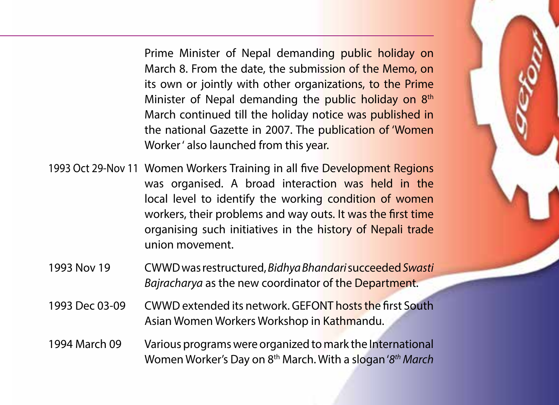Prime Minister of Nepal demanding public holiday on March 8. From the date, the submission of the Memo, on its own or jointly with other organizations, to the Prime Minister of Nepal demanding the public holiday on 8<sup>th</sup> March continued till the holiday notice was published in the national Gazette in 2007. The publication of 'Women Worker' also launched from this year.

- 1993 Oct 29-Nov 11 Women Workers Training in all five Development Regions was organised. A broad interaction was held in the local level to identify the working condition of women workers, their problems and way outs. It was the first time organising such initiatives in the history of Nepali trade union movement.
- 1993 Nov 19 CWWD was restructured, *Bidhya Bhandari* succeeded *Swasti Bajracharya* as the new coordinator of the Department.
- 1993 Dec 03-09 CWWD extended its network. GEFONT hosts the first South Asian Women Workers Workshop in Kathmandu.
- 1994 March 09 Various programs were organized to mark the International Women Worker's Day on 8th March. With a slogan '*8th March*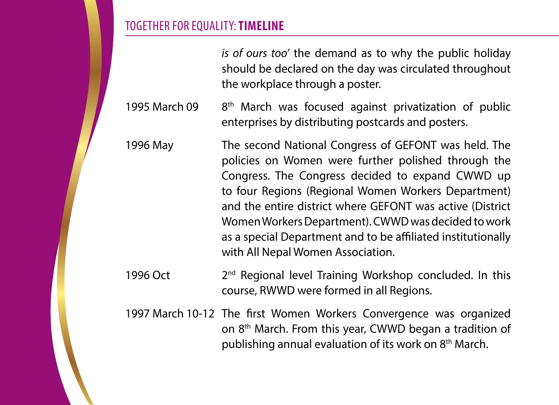*is of ours too'* the demand as to why the public holiday should be declared on the day was circulated throughout the workplace through a poster.

1995 March 09  $8<sup>th</sup>$  March was focused against privatization of public enterprises by distributing postcards and posters.

1996 May The second National Congress of GEFONT was held. The policies on Women were further polished through the Congress. The Congress decided to expand CWWD up to four Regions (Regional Women Workers Department) and the entire district where GEFONT was active (District Women Workers Department). CWWD was decided to work as a special Department and to be affiliated institutionally with All Nepal Women Association.

1996 Oct 2<sup>nd</sup> Regional level Training Workshop concluded. In this course, RWWD were formed in all Regions.

1997 March 10-12 The first Women Workers Convergence was organized on 8th March. From this year, CWWD began a tradition of publishing annual evaluation of its work on 8th March.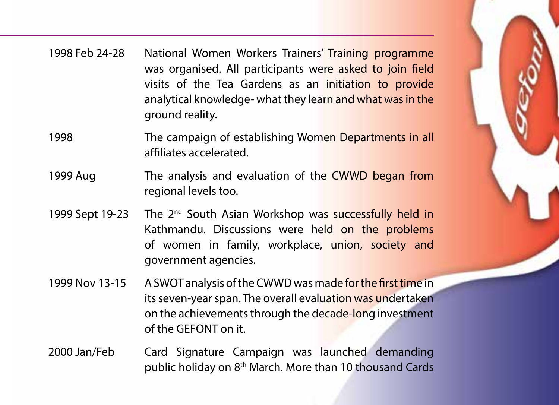- 1998 Feb 24-28 National Women Workers Trainers' Training programme was organised. All participants were asked to join field visits of the Tea Gardens as an initiation to provide analytical knowledge- what they learn and what was in the ground reality.
- 1998 The campaign of establishing Women Departments in all affiliates accelerated.
- 1999 Aug The analysis and evaluation of the CWWD began from regional levels too.
- 1999 Sept 19-23 The 2<sup>nd</sup> South Asian Workshop was successfully held in Kathmandu. Discussions were held on the problems of women in family, workplace, union, society and government agencies.
- 1999 Nov 13-15 A SWOT analysis of the CWWD was made for the first time in its seven-year span. The overall evaluation was undertaken on the achievements through the decade-long investment of the GEFONT on it.
- 2000 Jan/Feb Card Signature Campaign was launched demanding public holiday on 8th March. More than 10 thousand Cards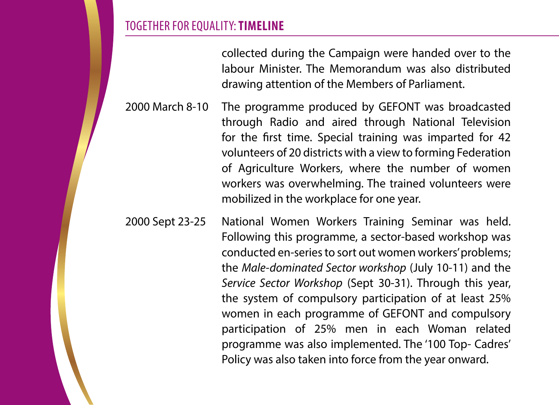collected during the Campaign were handed over to the labour Minister. The Memorandum was also distributed drawing attention of the Members of Parliament.

2000 March 8-10 The programme produced by GEFONT was broadcasted through Radio and aired through National Television for the first time. Special training was imparted for 42 volunteers of 20 districts with a view to forming Federation of Agriculture Workers, where the number of women workers was overwhelming. The trained volunteers were mobilized in the workplace for one year.

2000 Sept 23-25 National Women Workers Training Seminar was held. Following this programme, a sector-based workshop was conducted en-series to sort out women workers' problems; the *Male-dominated Sector workshop* (July 10-11) and the *Service Sector Workshop* (Sept 30-31). Through this year, the system of compulsory participation of at least 25% women in each programme of GEFONT and compulsory participation of 25% men in each Woman related programme was also implemented. The '100 Top- Cadres' Policy was also taken into force from the year onward.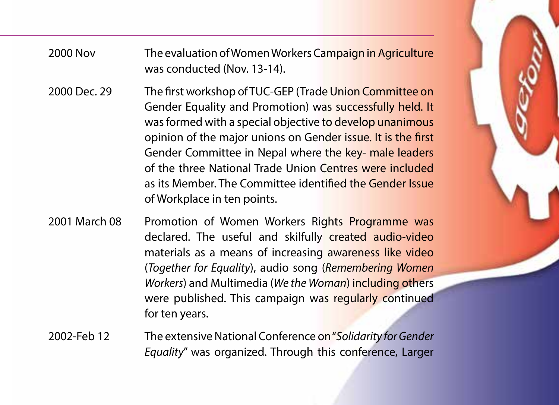2000 Nov The evaluation of Women Workers Campaign in Agriculture was conducted (Nov. 13-14).

- 2000 Dec. 29 The first workshop of TUC-GEP (Trade Union Committee on Gender Equality and Promotion) was successfully held. It was formed with a special objective to develop unanimous opinion of the major unions on Gender issue. It is the first Gender Committee in Nepal where the key- male leaders of the three National Trade Union Centres were included as its Member. The Committee identified the Gender Issue of Workplace in ten points.
- 2001 March 08 Promotion of Women Workers Rights Programme was declared. The useful and skilfully created audio-video materials as a means of increasing awareness like video (*Together for Equality*), audio song (*Remembering Women Workers*) and Multimedia (*We the Woman*) including others were published. This campaign was regularly continued for ten years.
- 2002-Feb 12 The extensive National Conference on "*Solidarity for Gender Equality*" was organized. Through this conference, Larger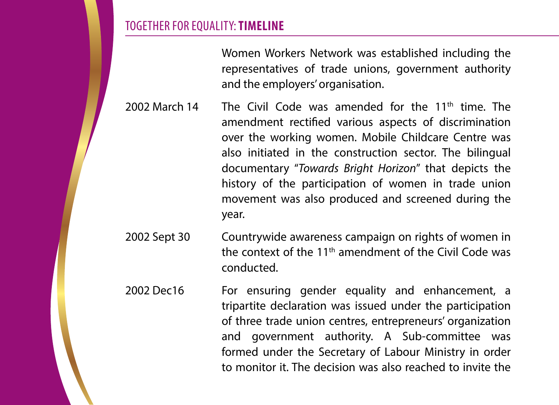Women Workers Network was established including the representatives of trade unions, government authority and the employers' organisation.

2002 March 14 The Civil Code was amended for the 11<sup>th</sup> time. The amendment rectified various aspects of discrimination over the working women. Mobile Childcare Centre was also initiated in the construction sector. The bilingual documentary "*Towards Bright Horizon*" that depicts the history of the participation of women in trade union movement was also produced and screened during the year.

2002 Sept 30 Countrywide awareness campaign on rights of women in the context of the 11th amendment of the Civil Code was conducted.

2002 Dec16 For ensuring gender equality and enhancement, a tripartite declaration was issued under the participation of three trade union centres, entrepreneurs' organization and government authority. A Sub-committee was formed under the Secretary of Labour Ministry in order to monitor it. The decision was also reached to invite the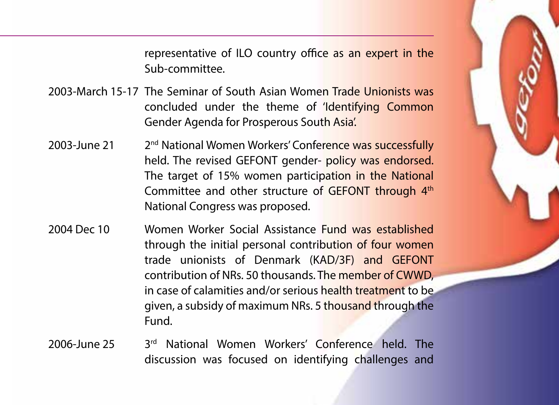representative of ILO country office as an expert in the Sub-committee.

- 2003-March 15-17 The Seminar of South Asian Women Trade Unionists was concluded under the theme of 'Identifying Common Gender Agenda for Prosperous South Asia'.
- 2003-June 21 2<sup>nd</sup> National Women Workers' Conference was successfully held. The revised GEFONT gender- policy was endorsed. The target of 15% women participation in the National Committee and other structure of GEFONT through 4<sup>th</sup> National Congress was proposed.
- 2004 Dec 10 Women Worker Social Assistance Fund was established through the initial personal contribution of four women trade unionists of Denmark (KAD/3F) and GEFONT contribution of NRs. 50 thousands. The member of CWWD, in case of calamities and/or serious health treatment to be given, a subsidy of maximum NRs. 5 thousand through the Fund.
- 2006-June  $25 \times 3^{rd}$  National Women Workers' Conference held. The discussion was focused on identifying challenges and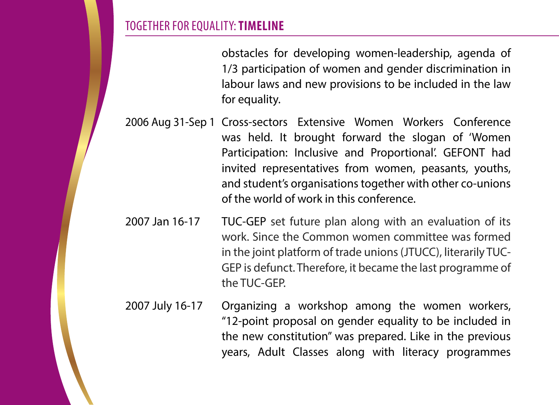obstacles for developing women-leadership, agenda of 1/3 participation of women and gender discrimination in labour laws and new provisions to be included in the law for equality.

- 2006 Aug 31-Sep 1 Cross-sectors Extensive Women Workers Conference was held. It brought forward the slogan of 'Women Participation: Inclusive and Proportional'. GEFONT had invited representatives from women, peasants, youths, and student's organisations together with other co-unions of the world of work in this conference.
- 2007 Jan 16-17 TUC-GEP set future plan along with an evaluation of its work. Since the Common women committee was formed in the joint platform of trade unions (JTUCC), literarily TUC-GEP is defunct. Therefore, it became the last programme of the TUC-GEP.
- 2007 July 16-17 Organizing a workshop among the women workers, "12-point proposal on gender equality to be included in the new constitution" was prepared. Like in the previous years, Adult Classes along with literacy programmes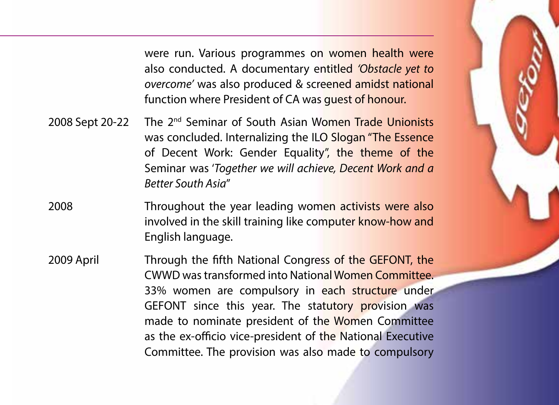were run. Various programmes on women health were also conducted. A documentary entitled *'Obstacle yet to overcome'* was also produced & screened amidst national function where President of CA was guest of honour.

- 2008 Sept 20-22 The 2<sup>nd</sup> Seminar of South Asian Women Trade Unionists was concluded. Internalizing the ILO Slogan "The Essence of Decent Work: Gender Equality", the theme of the Seminar was '*Together we will achieve, Decent Work and a Better South Asia*"
- 2008 Throughout the year leading women activists were also involved in the skill training like computer know-how and English language.
- 2009 April Through the fifth National Congress of the GEFONT, the CWWD was transformed into National Women Committee. 33% women are compulsory in each structure under GEFONT since this year. The statutory provision was made to nominate president of the Women Committee as the ex-officio vice-president of the National Executive Committee. The provision was also made to compulsory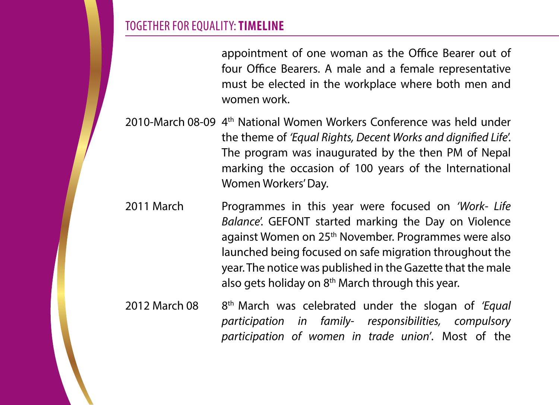appointment of one woman as the Office Bearer out of four Office Bearers. A male and a female representative must be elected in the workplace where both men and women work.

2010-March 08-09 4<sup>th</sup> National Women Workers Conference was held under the theme of *'Equal Rights, Decent Works and dignified Life*'. The program was inaugurated by the then PM of Nepal marking the occasion of 100 years of the International Women Workers' Day.

2011 March Programmes in this year were focused on *'Work- Life Balance*'. GEFONT started marking the Day on Violence against Women on 25<sup>th</sup> November. Programmes were also launched being focused on safe migration throughout the year. The notice was published in the Gazette that the male also gets holiday on  $8<sup>th</sup>$  March through this year.

2012 March 08 8<sup>th</sup> March was celebrated under the slogan of 'Equal *participation in family- responsibilities, compulsory participation of women in trade union'*. Most of the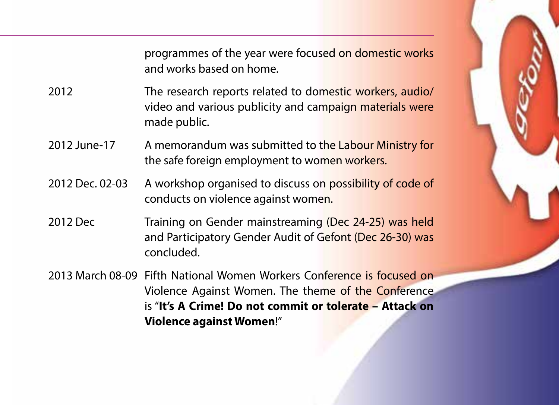programmes of the year were focused on domestic works and works based on home.

- 2012 The research reports related to domestic workers, audio/ video and various publicity and campaign materials were made public.
- 2012 June-17 A memorandum was submitted to the Labour Ministry for the safe foreign employment to women workers.
- 2012 Dec. 02-03 A workshop organised to discuss on possibility of code of conducts on violence against women.
- 2012 Dec Training on Gender mainstreaming (Dec 24-25) was held and Participatory Gender Audit of Gefont (Dec 26-30) was concluded.
- 2013 March 08-09 Fifth National Women Workers Conference is focused on Violence Against Women. The theme of the Conference is "**It's A Crime! Do not commit or tolerate – Attack on Violence against Women**!"